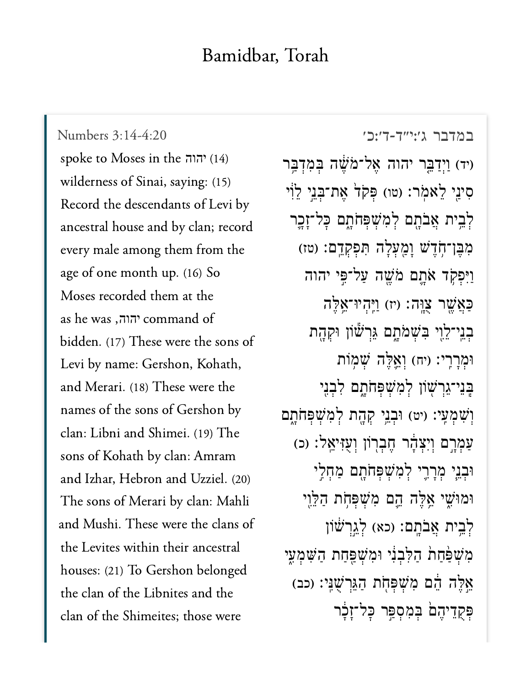## Bamidbar, Torah

[במדבר ג׳:י״ד-ד׳:כ׳](https://www.sefaria.org/Numbers%203:14-4:20) [3:14-4:20 Numbers](https://www.sefaria.org/Numbers%203:14-4:20) spoke to Moses in the הוה? (14) wilderness of Sinai, saying: (15) Record the descendants of Levi by ancestral house and by clan; record every male among them from the age of one month up. (16) So Moses recorded them at the as he was ,יהוה<mark>, command</mark> of bidden. (17) These were the sons of Levi by name: Gershon, Kohath, and Merari. (18) These were the names of the sons of Gershon by clan: Libni and Shimei. (19) The sons of Kohath by clan: Amram and Izhar, Hebron and Uzziel. (20) The sons of Merari by clan: Mahli and Mushi. These were the clans of the Levites within their ancestral houses: (21) To Gershon belonged the clan of the Libnites and the clan of the Shimeites; those were

יד) וַיִדַּבֵּר יהוה אֱל־מֹשֶׁה בִּמְדָבֵּר) ְסִינֵי לֵאמְר: (טו) פִּקְדֹ אֶת־בְּנֵי לֵוֹי ַלְבֵית אֲבֹתָם לְמִשְׁפִּחֹתָם כָּל־זָכֶר מְבֵן־חָדֵשׁ וַמֲעָלָה תִּפְקְדֵם: (טז) וַיִּפְקָד אֹתֲם מֹשֵׁה עַל־פֵּי יהוה כַּאֲשֱׁר צָוֶה: (יז) וַיְּהָיוּ־אֱלֵה בְנֵי־לֵוִי בִּשָׁמֹתָם גֵּרְשׁׁוֹן וּקִהָת וּמְרַךְי: (יה) וְאֱלֶה שָׁמוֹת בֵּנֵי־גֵרִשׁוֹן לְמִשְׁפְחֹתָם לְבְנֵי וְשָׁמְעָי: (יט) וּבְנֵי קְהֶת לְמִשְׁפִּחֹתָם ַעֲמְרֶם וְיִצְדָּׂר חֱבְרְוֹן וְעָזִּיאֱלֹ: (כ) וּבְנֵי מְרַרֵי לְמִשְׁפִּחֹתָם מַחָלֵי וּמוּ<sup>ּוֹ</sup>ְשִׁי אֱלֶה הֱם מְּשִׁפְּחָת הַלֵּוֵי ַלְבֵית אֲבֹתֲם: (כא) לְגֵרְשׁׁוֹן מִשְׁפַּחַת הַלְּבְנִי וּמִשְׁפַּחַת הַשִּׁמְעֵי אֵלֵה הֵם מִשִׁׁפְּחָת הַגֵּרְשָׁנֵי: (כב) פִּקְדֵיהֵם בִּמְסָפָּר כַּל־זְכֹר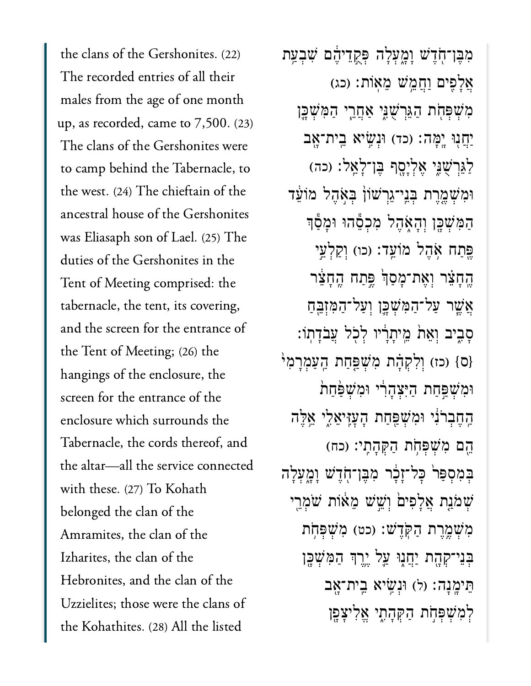the clans of the Gershonites. (22) The recorded entries of all their males from the age of one month up, as recorded, came to 7,500. (23) The clans of the Gershonites were to camp behind the Tabernacle, to the west. (24) The chieftain of the ancestral house of the Gershonites was Eliasaph son of Lael. (25) The duties of the Gershonites in the Tent of Meeting comprised: the tabernacle, the tent, its covering, and the screen for the entrance of the Tent of Meeting; (26) the hangings of the enclosure, the screen for the entrance of the enclosure which surrounds the Tabernacle, the cords thereof, and the altar—all the service connected with these. (27) To Kohath belonged the clan of the Amramites, the clan of the Izharites, the clan of the Hebronites, and the clan of the Uzzielites; those were the clans of the Kohathites. (28) All the listed

ִמֶּבן־ֹ֖חֶדׁש ָוָ֑מְעָלה ְּפֻ֣קֵדיֶ֔הם ִׁשְבַ֥עת אֲלָפִים וַחֲמֵשׁ מֵאוֹת: (כג) מְּשִׁפְּחָת הַגֵּרְשָׁנֵּי אַחֲרֵי הַמְּשָׁכֵּן ַיְחֲנְוּ יָמָּה: (כד) וּנְעֵׂיא ֲבֵית־אָב ַלַּגְּרְשָׁנֵּי אֶלְיָסֶף בֶּן־לָאֵל: (כה) וּמְשָׁמֱרֵת בְּנֵי־גֵרְשׁוֹן בְּאָהֵל מוֹעֵד ָהַמְּשָׁכֵּן וְהָאָהֶל מְכְםֶהוּ וּמַטָּך ֶפֵּתַח אָהֶל מוֹעֱד: (כו) וְקַלְעֵי ֶֽהָחֵ֗צר ְוֶאת־ָמַסְ֙ך ֶּ֣פַתח ֶֽהָחֵ֔צר אֲשֶׁר עַל־הַמְּשָׁכֵּן וְעַל־הַמְזָבֵּחַ ָסָבִיב וָאֵת מֵיתַרִיו לְכְל עֲבֹדָתוֹ: (ס) (כז) וְלְקָהָת מְּשָׁפַּחַת הַעֲמְרָמְ<sup>יֹ</sup> וּמְשָׁפֵּחַת הַיִּצְהָרִ֫י וּמְשָׁפַּחַת ַֽהֶחְבֹרִ֔ני ּוִמְׁשַּ֖פַחת ָהׇעִּֽזיֵאִ֑לי ֵ֥אֶּלה הֵם מְּשִׁפְּחֹת הַקְּהָתֵי: (כח) בִּמְסָפַּר כָּל־זָבָר מִבֵּן־חְֹדֵשׁ וָמָעָלָה ְׁשֹמַ֤נת ֲאָלִפי֙ם ְוֵׁ֣שׁש ֵמ֔אֹות ֹׁשְמֵ֖רי ִמְׁשֶ֥מֶרת ַהֹּֽקֶדׁש׃ )כט( ִמְׁשְּפֹ֥חת בִּנִי־קְהָת יַחֲנִוּ עֲל יֵרֵךְ הַמְּשָׁכֵּן ָּתִּימֻנָה׃ (ל) וּנְשֵׂיא ִבֵית־אֲב ְלִמְׁשְּפֹ֣חת ַהְּקָהִ֑תי ֱאִליָצָ֖פן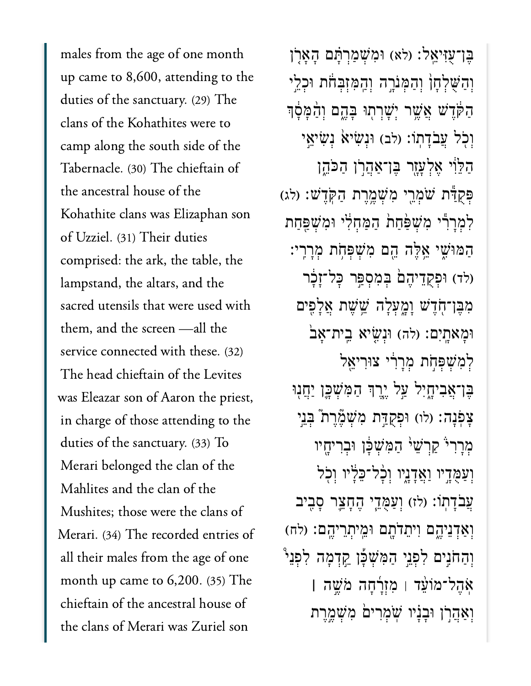males from the age of one month up came to 8,600, attending to the duties of the sanctuary. (29) The clans of the Kohathites were to camp along the south side of the Tabernacle. (30) The chieftain of the ancestral house of the Kohathite clans was Elizaphan son of Uzziel. (31) Their duties comprised: the ark, the table, the lampstand, the altars, and the sacred utensils that were used with them, and the screen —all the service connected with these. (32) The head chieftain of the Levites was Eleazar son of Aaron the priest, in charge of those attending to the duties of the sanctuary. (33) To Merari belonged the clan of the Mahlites and the clan of the Mushites; those were the clans of Merari. (34) The recorded entries of all their males from the age of one month up came to 6,200. (35) The chieftain of the ancestral house of the clans of Merari was Zuriel son

ָבֶן־עָזְיאֵל: (לא) וּמְשָׁמַרְתַּם הָאַרְן וְהַשְׁלְחָן וְהַמְּנֹרֶה וְהַמְזִבְחֹת וּכְלֵי ְהַקְּדָּשׁ אֲשֶׁר יְשָׁרְתְוּ בָּהֱם וְהַמָּסָוּ וְכָל עֲבֹדַתוֹ: (לב) וּנְשִׂיא נִשְׂיאֵי ְהַלֵּוֹי אֵלְעָזֶר בֵּו־אַהֲרֹן הַכֹּהֵן פִּקְדָּשׁ: (לג) פִּקְדָּשׁ: (לג לְמְרָךְי מְשָׁפַּחַת הַמַּחִלְי וּמְשִׁפֵּחַת ְהַמּוּּשִׁי אֱלֵה הֵם מְשִׁפְּחָת מְרַרֵי: (לד) וּפְקֻדֵיהֶם<sup>ׁ</sup> בְּמִסְפֵּר כְּל־זֶבֶּר מְבֵּן־חָדֵשׁ וַמֲעָלָה שֱׁשֶׁת אֱלָפִים וּמַאתַיִם: (לה) וּנְשֵׂיא בֵית־אַב<sup>ּי</sup> לִמְשָׁפְּחָת מְרַרִי צוּרִיאֱלֹ בֵּן־אֲבִיחָיִל עַל יֵרֵךְ הַמְּשָׁכֵֵן יַחֲנִוּ צַפְּנָה: (לו) וּפְקְדַּת מְ<sup>ֹ</sup>שָׁמֱרֵת בְּנֵי מְרַרִי קַרְשָׁי הַמְּשָׁכָּן וּבְרִיחֵיו וְעַמֻּדְיו וַאֲדְנֵיו וְכָל־כֵלָיו וְכִל ְעֲבֹדָתוֹ: (לז) וְעַמְּדֵי הֵחָצֵר סָבִיב וְאַדְנֵיהֱם וִיתֵדֹתָם וּמֵיתְרֵיהֱם: (לח) וְהַחֹגֵים לְפָנֵי הַמְּשָׁכָּן קֵדְמַה לְפָנֵ<sup>י</sup> ֹֽא ֶה ל־מֹוֵ֨ע ד ׀ ִמ ְז ָ֜ר ָח ה ֹמ ֶׁ֣ש ה **׀** וְאַהֲרֹן וּבַנַיוּ שִׁמְרִים *ּמְשָׁמֱרֵת*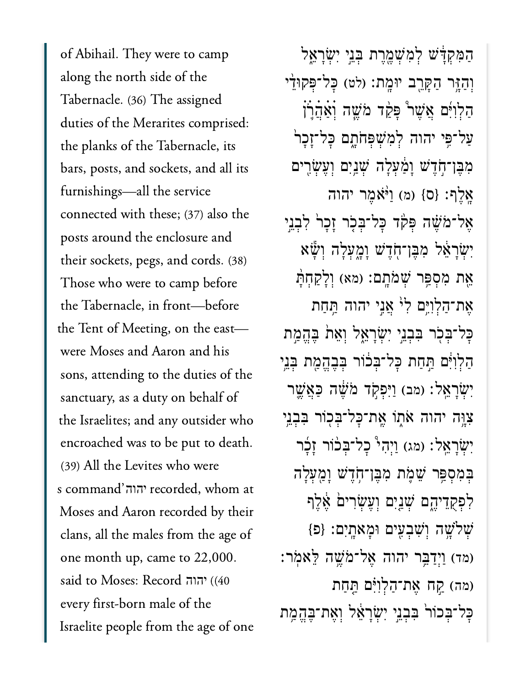of Abihail. They were to camp along the north side of the Tabernacle. (36) The assigned duties of the Merarites comprised: the planks of the Tabernacle, its bars, posts, and sockets, and all its furnishings—all the service connected with these; (37) also the posts around the enclosure and their sockets, pegs, and cords. (38) Those who were to camp before the Tabernacle, in front—before the Tent of Meeting, on the east were Moses and Aaron and his sons, attending to the duties of the sanctuary, as a duty on behalf of the Israelites; and any outsider who encroached was to be put to death. (39) All the Levites who were s command'יהוה recorded, whom at Moses and Aaron recorded by their clans, all the males from the age of one month up, came to 22,000. said to Moses: Record יהוה (40) every first-born male of the Israelite people from the age of one

ַהִּמְקָּ֔דׁש ְלִמְׁשֶ֖מֶרת ְּבֵ֣ני ִיְׂשָרֵ֑אל וְהָזֶּר הָקָרֱב יוּמֵת: (לט) כַּל־פְּקוּדֵי ַהְלִוִּ֜ים ֲאֶׁש֩ר ָּפַ֨קד ֹמֶׁ֧שה ְׄוַׄאֲׄהֹ֛ׄרׄן  $\,$ עַל־פֵּי יהוה לְמְשִׁפְחֹתָם כָּל־זָכָר מִבֶּן־חְֹדֶשׁ וָמַּׁעְלָה שְׁנַיִם וְעֶשְׂרִים  $\left\{\sigma\right\}$  (מ)  $\left\{0\right\}$   $\left\{\sigma\right\}$  אֶלֶף: אֱל־מֹשֶׁה פִּקְר כָּל־בִּכְר זָכָר לְּבְנֵי יְשְׂרָאֱל מְבֵן־חֶדֵשׁ וַמֲעָלָה וְשָׁّא אֶת מִסְפַּר שְׁמֹּתֳם: (מא) וְלָקַחְתָּ אֶת־הַלְוָיֵּם לְ<sup>וֹ</sup> אֲנֵי יהוה הַּחַת ּבָּל־ּבְּכָׂר בִּבְנֵי יִשְׂרָאֵל וְאֵתֹ בֶּהֱמַת ַּהַלְוִיֹּם תַּחַת כָּל־בִּבֹוֹר בִּבֶּהֱמֶת בִּנֵי יְשָׂרָאֱל׃ (מב) וַיִּפְקָד מֹּשֶׁה כַּאֲשֱר צְוָּה יהוה אֹתְוֹ אֵת־כָּל־בִּכְוֹר בִּבְנֵי יְשָׂרָאֱל׃ (מג) וַיִּהְי כָל־בְּכֹוֹר זַכָּר ְּבִמְסַּ֥פר ֵׁשֹ֛מת ִמֶּבן־ֹ֥חֶדׁש ָוַ֖מְעָלה ַלְפִקְדִיהֵם שָׁנֵיִם וְעֵשְׂרִים אֶלֶף  ${p}$  (שָׁלְשֶׁה וְשָׁבְעִים וּמָאַתָיִם:  ${q}$ (מד) וַיִּדַ<sup>ְבֶּ</sup>ר יהוה אֱל־מֹּשֵׁה לֵאמֹר: (מה) קֵח אֱת־הַלְוְיִּ֫ם תֲחָת ַּכַּל־בְּכוֹר בִּבְנֵי יְשָׂרַאֵ֫ל וְאֶת־בֶּהֱמֶת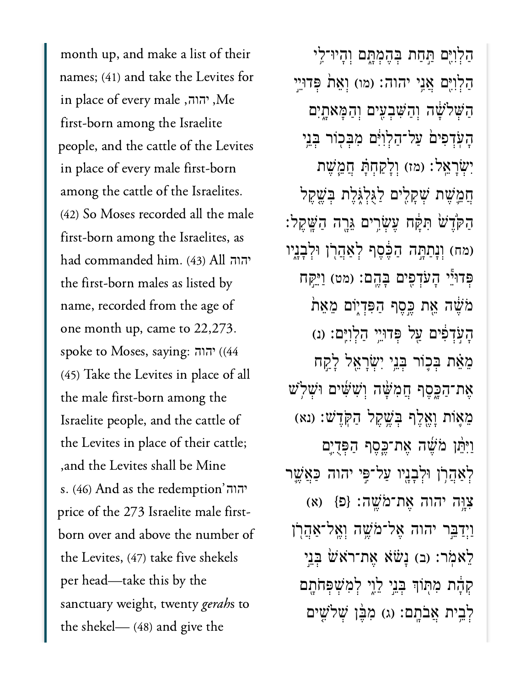month up, and make a list of their names; (41) and take the Levites for in place of every male ,יהוה, first-born among the Israelite people, and the cattle of the Levites in place of every male first-born among the cattle of the Israelites. (42) So Moses recorded all the male first-born among the Israelites, as had commanded him. (43) All יהוה the first-born males as listed by name, recorded from the age of one month up, came to 22,273. spoke to Moses, saying: יהוה (44 (45) Take the Levites in place of all the male first-born among the Israelite people, and the cattle of the Levites in place of their cattle; ,and the Levites shall be Mine s. (46) And as the redemption'יהוה price of the 273 Israelite male firstborn over and above the number of the Levites, (47) take five shekels per head—take this by the sanctuary weight, twenty *gerahs* to the shekel— (48) and give the

ַהַלְוִיֶּם תֲחַת בְּהֶמְתָּם וְהָיוּ־לֵי הַלְוְיֵּם אֲנֵי יהוה: (מו) וְאֵת ׁפְּדוּיֵי ַהְּׁשֹלָׁ֔שה ְוַהִּׁשְבִ֖עים ְוַהָּמאָ֑תִים ָהֹֽעְדִפי֙ם ַעל־ַהְלִוִּ֔ים ִמְּב֖כֹור ְּבֵ֥ני יְשָׂרַאֱל: (מז) וְלַקְחָתָּ חֲמֱשֶׁת הֲמֵ**ٰשֶׁת שִׁקָלִים לַגְלְגִ**ּלֶת בִּ**שֶׁקֵל** ַהֹּ֙קֶדׁ֙ש ִּתָּ֔קח ֶעְׂשִ֥רים ֵּגָ֖רה ַהָּֽׁשֶקל׃ (מח) וְנַתַּתָּה הַבֶּסֶף לְאַהֲרֹן וּלְבָנֵיו ּפִּדוּ"ֵי הָעֹדְפִים בָּהֱם: (מט) וַיַּקְח ְמֹּשֶׁה אֵת כֵּסֵף הַפְּדְיָוֹם מֵאֵת ָהָעִדְפִים עֲל פִּדוּיֵי הַלְוְיֵּם: (נ ֵמֵ֗את ְּב֛כֹור ְּבֵ֥ני ִיְׂשָרֵ֖אל ָלַ֣קח  $\psi$ ת־הַכֶּסֶף הֲמִשָּׁה וְּשִׁשִּׁים וּשָׁלִשׁ ֵמ֛אֹות ָוֶ֖אֶלף ְּבֶׁ֥שֶקל ַהֹּֽקֶדׁש׃ )נא( וַיִּהֵּן מֹּשֵׁה אֱת־כֱסֶף הַפְּדָיֶם לְאַהֲרְן וּלְבָנֵיו עַל־פִּי יהוה כַּאֲשֵׁר (א) (פַּּ}  $\{B\}$  :אָת־מֹּשֱה: וַיִּדַ<sup>ְ</sup>בֵר יהוה אֱל־מֹשֵׁה וְאֱל־אַהֲרְן ֿלְאֹמֹר: (ב) נַעֹּׂׂא אֱת־רֹאֹשׂ בָּנֵי קִהָּ֔ת מִתְּוֹךְ בְּנֵי לֵוֶי לִמְשִׁפְּחֹתָם לְבֵית אֲבֹתֵם: (ג) מְבֶּ֫ן שְׁלֹשֵׁים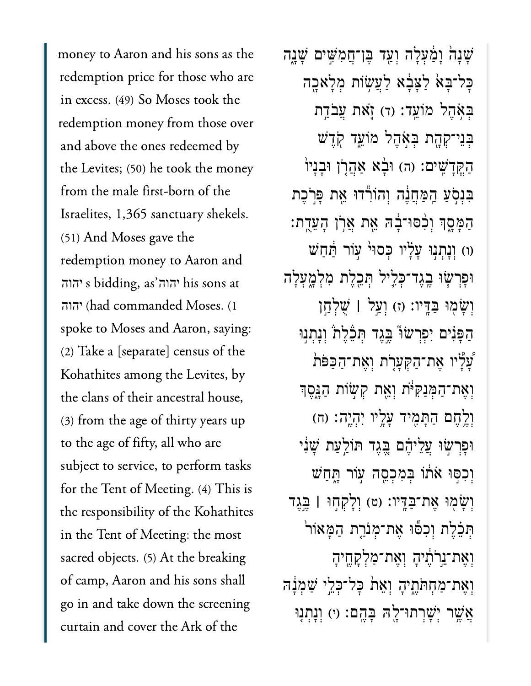money to Aaron and his sons as the redemption price for those who are in excess. (49) So Moses took the redemption money from those over and above the ones redeemed by the Levites; (50) he took the money from the male first-born of the Israelites, 1,365 sanctuary shekels. (51) And Moses gave the redemption money to Aaron and s bidding, as'יהוה his sons at יהוה יהוה (had commanded Moses. (1 spoke to Moses and Aaron, saying: (2) Take a [separate] census of the Kohathites among the Levites, by the clans of their ancestral house, (3) from the age of thirty years up to the age of fifty, all who are subject to service, to perform tasks for the Tent of Meeting. (4) This is the responsibility of the Kohathites in the Tent of Meeting: the most sacred objects. (5) At the breaking of camp, Aaron and his sons shall go in and take down the screening curtain and cover the Ark of the

ָּשָׁנָה וָמַלָּה וְעַד בֵּן־חֲמְשִׁים שָׁנֵה כַּל־בָּא לַצָּבָ֫א לַעֲשָׂוֹת מִלַּאָכֵה בְּאָהֶל מוֹעֵד: (ד) זָאת עֲבֹדֵת ְּבֵני־ְקָ֖הת ְּבֹ֣אֶהל מֹוֵ֑עד ֹ֖קֶדׁש ַהָקֵדָשִׁים: (ה) וּבָ֫א אֲהֲרָׂן וּבָנָיוֹ ַּבְּנְסְעַ הַמַּחֲנֶה וְהוֹרְّדוּ אֵת פְּרְכֶת ַהַמְּסֶךְ וְכִסּוּ־בָ֫ה ִאֵת אֲרֹן הָעֲדֵת: (ו) וְנַתְנִוּ עַלָּ'יו כְּסוּ<sup>וּ</sup> עָוֹר הַּחַשׁ ּוָפְרׂ֧שּו ֶֽבֶגד־ְּכִ֛ליל ְּתֵ֖כֶלת ִמְלָ֑מְעָלה ְוָׂש֖מּו ַּבָּֽדיו׃ )ז( ְוַ֣על **׀** ֻׁשְלַ֣חן ַהַפְּנִים יִפְרְשֹוּ בֵּגֵד תְּבֶּלֶת וְנָתְנִוּ ָעָלָיו אֶת־הַקִּעָרָת וְאֶת־הַכִּפֹּת וְאֶת־הַמְּנַקִּיֹּת וְאֵת קְשָׂוֹת הַגֲּסֶך ּוְרֶׂחֶם הַתָּמִיד עָלֵיו יְהְיֵה׃ (ח) ּוָפְרׂ֣שּו ֲעֵליֶ֗הם ֶּ֚בֶגד ּתֹוַ֣לַעת ָׁשִ֔ני וָכִסְּוּ אֹתוֹ בִּמְכָסֶה עְוֹר הֶָחַשׁ ְוָׂש֖מּו ֶאת־ַּבָּֽדיו׃ )ט( ְוָלְק֣חּו **׀** ֶּ֣בֶגד תְּבֵׁלֶת וְכִפֿוּ אֶת־מְנֹרֶת הַמְּאוֹר<sup>י</sup> וְאֶת־יֱרֹתֶ֫יהָ וְאֶת־מַלְקָחֱיהָ וְאֶת־מַחְתֹּתֶיהָ וְאֵת כָּל־כְּלֵי שַׁמְּנָה ְאֲשֶׁר יְשָׁרְתוּ־לֵ<sup>נְ</sup>הּ בָּהֵם: (י) וְנַתְנִוּ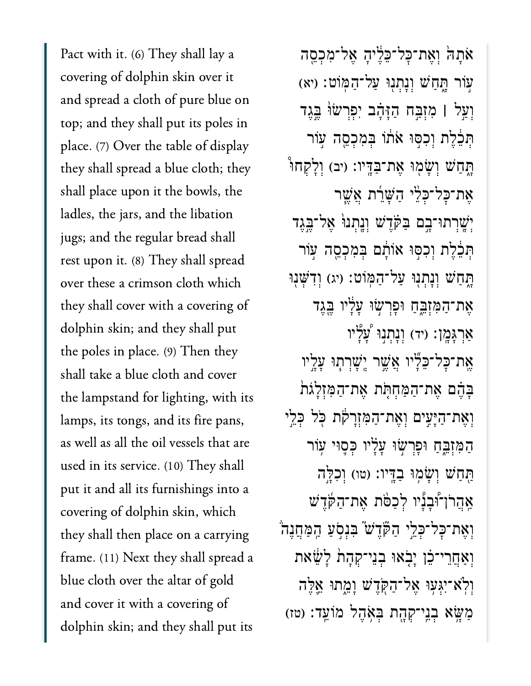Pact with it. (6) They shall lay a covering of dolphin skin over it and spread a cloth of pure blue on top; and they shall put its poles in place. (7) Over the table of display they shall spread a blue cloth; they shall place upon it the bowls, the ladles, the jars, and the libation jugs; and the regular bread shall rest upon it. (8) They shall spread over these a crimson cloth which they shall cover with a covering of dolphin skin; and they shall put the poles in place. (9) Then they shall take a blue cloth and cover the lampstand for lighting, with its lamps, its tongs, and its fire pans, as well as all the oil vessels that are used in its service. (10) They shall put it and all its furnishings into a covering of dolphin skin, which they shall then place on a carrying frame. (11) Next they shall spread a blue cloth over the altar of gold and cover it with a covering of dolphin skin; and they shall put its

ֹאֹתָה וְאֶת־כָּל־כֶּלֶיהָ אֱל־מְכְסֱה ֣עֹור ָּ֑תַחׁש ְוָנְת֖נּו ַעל־ַהּֽמֹוט׃ )יא( ְוַ֣על **׀** ִמְזַּ֣בח ַהָּזָ֗הב ִיְפְרׂשּ֙ו ֶּ֣בֶגד תְּבֶלֶת וְכְסִּוּ אֹתֹו בְּמְכְסֵה עָוֹר ַּתֲחַשׁ וְשָׂמְוּ אֱת־בַּדֵּיו: (יִב) וְלַקְחוּ אֶת־כַּל־כִלֵי הַשַּׁרֵת אֲשֶׁר יִּשֳרִתוּ־בֵם בַּקָּדֵ<sup>ּ</sup>שׁ וְנֵתְנוּּ אֱל־בֵּגֶד תַּבֶּלֶת וְכִסּוּ אוֹתֵם בִּמְכְסֵה עַוֹר ַתְּחָשׁ וְנַתְנִוּ עֲל־הַמְּוֹט: (יג) וְדְשָׁנִוּ אֶת־הַמִּזְבֵּחַ וּפָרִשְׂוּ עַלַ<sup>י</sup>ו בֵּגֵד ַאֲרָגָּמֶן: (יד) וְנָתְנְוּ עָ<sup>ּא</sup>ָיו **ָּאֶת־כַּל־כֵּ**לָּיו **אֲשֶׁר יֵשַׁרְתִוּ עַ**ּלֵיו ַבְּהֶם אֱת־הַמְּחִתְּת אֱת־הַמְזְלַגֹת וְאֶת־הַיְּעִים וְאֶת־הַמִּזְרָקת כְּל כָּלֵי ָהַמְזָּבֵּחָ וּפַרְשִׂוּ עַלָּיו כְּסֵוּי עָוֹר ַתֲחַשׁ וְשַׂמְוּ בַדֵּיו: (טו) וְכָלֵה ּאַהֲרֹוְ־וּּבְנִיו לְכַפֹּת אֶת־הַקֶּדָּשׁ וְאֶת־כָּל־כְּלֵי הַקְּדֵשׁ בִּנְסָעַ הַמַּחֲנֵה וְאַחֲרִי־כֵוֹ יָבְאוּ בְנֵי־קְהָת לַֹּשֵׁׁאת ְוֹֽלא־ִיְּג֥עּו ֶאל־ַהֹּ֖קֶדׁש ָוֵ֑מתּו ֵ֛אֶּלה ַמְּשֵׂ֑א בְנֵי־קְהָת בְּאָהֶל מֹוֹעֵ֣ד׃ (טז)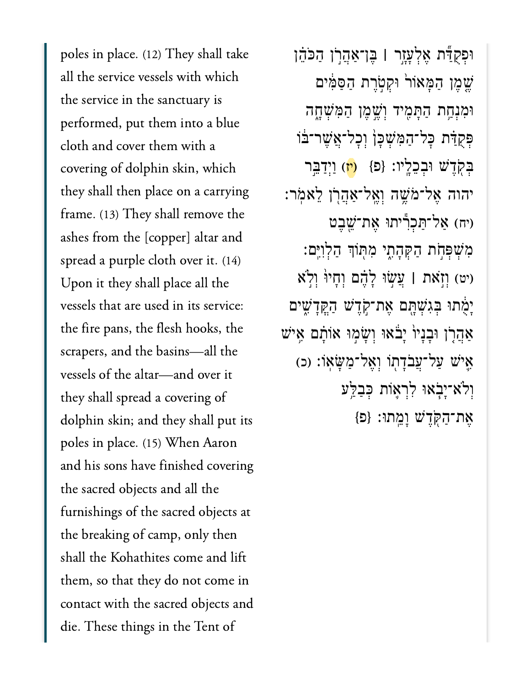poles in place. (12) They shall take all the service vessels with which the service in the sanctuary is performed, put them into a blue cloth and cover them with a covering of dolphin skin, which they shall then place on a carrying frame. (13) They shall remove the ashes from the [copper] altar and spread a purple cloth over it. (14) Upon it they shall place all the vessels that are used in its service: the fire pans, the flesh hooks, the scrapers, and the basins—all the vessels of the altar—and over it they shall spread a covering of dolphin skin; and they shall put its poles in place. (15) When Aaron and his sons have finished covering the sacred objects and all the furnishings of the sacred objects at the breaking of camp, only then shall the Kohathites come and lift them, so that they do not come in contact with the sacred objects and die. These things in the Tent of

ּוְפֻקַּ֞דת ֶאְלָעָ֣זר **׀** ֶּבן־ַאֲהֹ֣רן ַהֹּכֵ֗הן ְשֶׁמֶן הַמַּאוֹר וּקִטְרֶת הַסַּמִּ֫ים וּמְנָחֵת הַתַּמִּיד וְשֵׁמֵן הַמְּשָׁחָה פִּקְדָּׁת כַּל־הַמְּשָׁכֵּן וְכַל־אֱשֶׁר־בֹּוֹ בְּקָדֵ<sup>ּיָ</sup>שׁ וּבְכֵלֵיו: {פ<sup>ָן</sup> (יז) וַיִּדַּבֵּר יהוה ֶאל־ֹמֶׁ֥שה ְוֶֽאל־ַאֲהֹ֖רן ֵלאֹֽמר׃ יח) אַל־תַּכִרְיתוּ אֶת־*ֹ*ּשֱבֵט ִמְׁשְּפֹ֣חת ַהְּקָהִ֑תי ִמּ֖תֹוְך ַהְלִוִּֽים׃ )יט( ְוֹ֣זאת **׀** ֲעׂ֣שּו ָלֶ֗הם ְוָחיּ֙ו ְוֹ֣לא יַמְׁתוּ בְּגִשְׁתֵּם אֱת־קָדָ<sup>ּיָ</sup>שׁ הָקֵדַ<sup>ּ</sup>שֶׁים ַאֲהָרָן וּבָנָיוֹ יָבֹאוּ וְשָׂמְוּ אוֹתָם אֵישׁ הָל־עֲבֹדָת<sup>ָן</sup> וְאֱל־מַּשָּׂאָוֹ: (כ) ְוֹלא־ָיֹ֧באּו ִלְר֛אֹות ְּכַבַּ֥לע ֶאת־ַהֹּ֖קֶדׁש ָוֵֽמתּו׃ }פ{